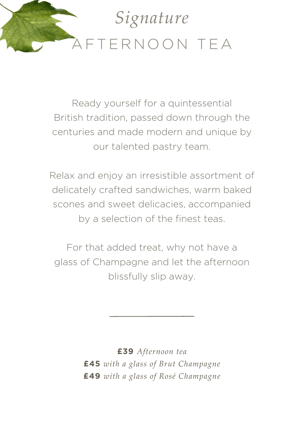

Ready yourself for a quintessential British tradition, passed down through the centuries and made modern and unique by our talented pastry team.

Relax and enjoy an irresistible assortment of delicately crafted sandwiches, warm baked scones and sweet delicacies, accompanied by a selection of the finest teas.

For that added treat, why not have a glass of Champagne and let the afternoon blissfully slip away.

> **£39** *Afternoon tea* **£45** *with a glass of Brut Champagne* **£49** *with a glass of Rosé Champagne*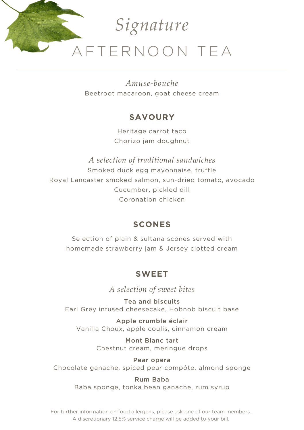

*Amuse-bouche* Beetroot macaroon, goat cheese cream

### **SAVOURY**

Heritage carrot taco Chorizo jam doughnut

*A selection of traditional sandwiches* Smoked duck egg mayonnaise, truffle Royal Lancaster smoked salmon, sun-dried tomato, avocado Cucumber, pickled dill Coronation chicken

### **SCONES**

Selection of plain & sultana scones served with homemade strawberry jam & Jersey clotted cream

# **SWEET**

*A selection of sweet bites*

Tea and biscuits Earl Grey infused cheesecake, Hobnob biscuit base

Apple crumble éclair Vanilla Choux, apple coulis, cinnamon cream

> Mont Blanc tart Chestnut cream, meringue drops

Pear opera Chocolate ganache, spiced pear compôte, almond sponge

> Rum Baba Baba sponge, tonka bean ganache, rum syrup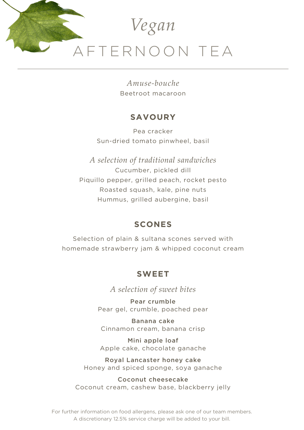

*Amuse-bouche* Beetroot macaroon

#### **SAVOURY**

Pea cracker Sun-dried tomato pinwheel, basil

*A selection of traditional sandwiches* Cucumber, pickled dill Piquillo pepper, grilled peach, rocket pesto Roasted squash, kale, pine nuts Hummus, grilled aubergine, basil

#### **SCONES**

Selection of plain & sultana scones served with homemade strawberry jam & whipped coconut cream

#### **SWEET**

*A selection of sweet bites*

Pear crumble Pear gel, crumble, poached pear

Banana cake Cinnamon cream, banana crisp

Mini apple loaf Apple cake, chocolate ganache

Royal Lancaster honey cake Honey and spiced sponge, soya ganache

Coconut cheesecake Coconut cream, cashew base, blackberry jelly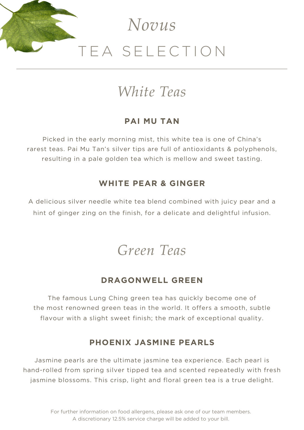

# *White Teas*

#### **PAI MU TAN**

Picked in the early morning mist, this white tea is one of China's rarest teas. Pai Mu Tan's silver tips are full of antioxidants & polyphenols, resulting in a pale golden tea which is mellow and sweet tasting.

#### **WHITE PEAR & GINGER**

A delicious silver needle white tea blend combined with juicy pear and a hint of ginger zing on the finish, for a delicate and delightful infusion.

*Green Teas*

#### **DRAGONWELL GREEN**

The famous Lung Ching green tea has quickly become one of the most renowned green teas in the world. It offers a smooth, subtle flavour with a slight sweet finish; the mark of exceptional quality.

#### **PHOENIX JASMINE PEARLS**

Jasmine pearls are the ultimate jasmine tea experience. Each pearl is hand-rolled from spring silver tipped tea and scented repeatedly with fresh jasmine blossoms. This crisp, light and floral green tea is a true delight.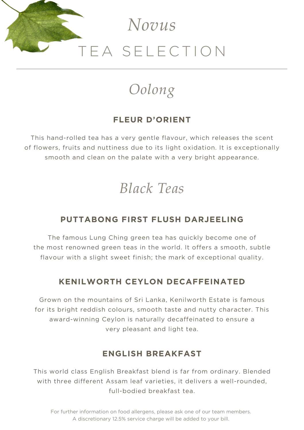

# *Oolong*

# **FLEUR D'ORIENT**

This hand-rolled tea has a very gentle flavour, which releases the scent of flowers, fruits and nuttiness due to its light oxidation. It is exceptionally smooth and clean on the palate with a very bright appearance.

# *Black Teas*

### **PUTTABONG FIRST FLUSH DARJEELING**

The famous Lung Ching green tea has quickly become one of the most renowned green teas in the world. It offers a smooth, subtle flavour with a slight sweet finish; the mark of exceptional quality.

### **KENILWORTH CEYLON DECAFFEINATED**

Grown on the mountains of Sri Lanka, Kenilworth Estate is famous for its bright reddish colours, smooth taste and nutty character. This award-winning Ceylon is naturally decaffeinated to ensure a very pleasant and light tea.

### **ENGLISH BREAKFAST**

This world class English Breakfast blend is far from ordinary. Blended with three different Assam leaf varieties, it delivers a well-rounded, full-bodied breakfast tea.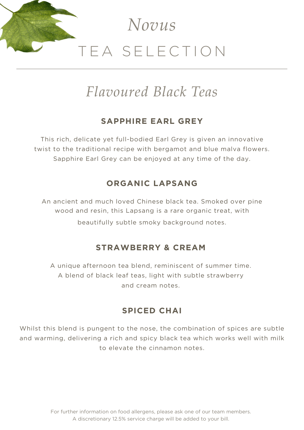

# *Flavoured Black Teas*

### **SAPPHIRE EARL GREY**

This rich, delicate yet full-bodied Earl Grey is given an innovative twist to the traditional recipe with bergamot and blue malva flowers. Sapphire Earl Grey can be enjoyed at any time of the day.

### **ORGANIC LAPSANG**

An ancient and much loved Chinese black tea. Smoked over pine wood and resin, this Lapsang is a rare organic treat, with beautifully subtle smoky background notes.

### **STRAWBERRY & CREAM**

A unique afternoon tea blend, reminiscent of summer time. A blend of black leaf teas, light with subtle strawberry and cream notes.

#### **SPICED CHAI**

Whilst this blend is pungent to the nose, the combination of spices are subtle and warming, delivering a rich and spicy black tea which works well with milk to elevate the cinnamon notes.